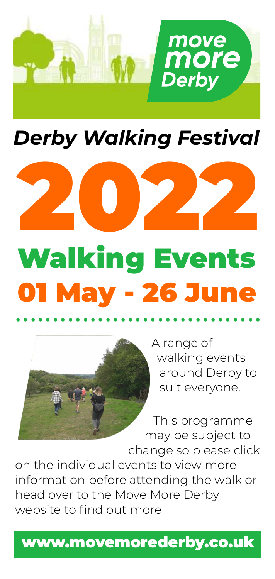

### *Derby
Walking
Festival*



# Walking
Events 01
May
26
June .................................



A
range
of walking
events around
Derby
to suit
everyone.

This
programme may
be
subject
to change
so
please
click on
the
individual
events
to
view
more information
before
attending
the
walk
or head
over
to
the
Move
More
Derby website to find out more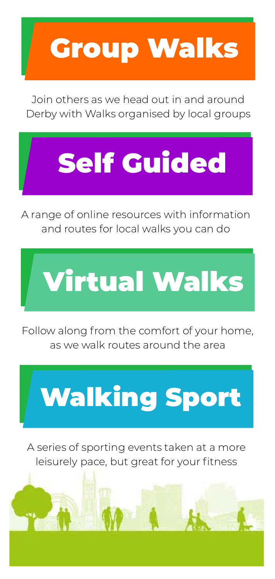# [Group
Walks](#page-2-0)

Join
others
as
we
head
out
in
and
around Derby
with
Walks
organised
by
local
groups

# [Self
Guided](#page-6-0)

A
range
of
online
resources
with
information and
routes
for
local
walks
you
can
do



Follow along from the comfort of your home, as
we
walk
routes
around
the
area



A
series
of
sporting
events
taken
at
a
more leisurely pace, but great for your fitness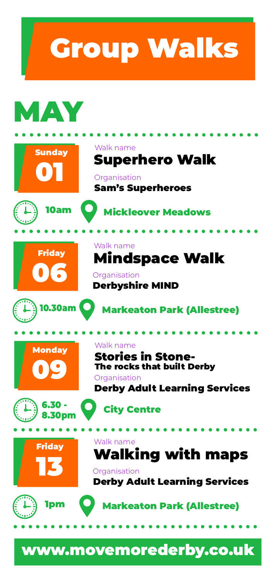<span id="page-2-0"></span>

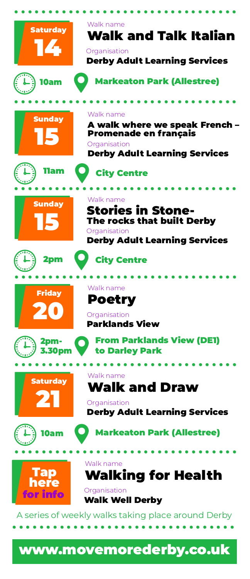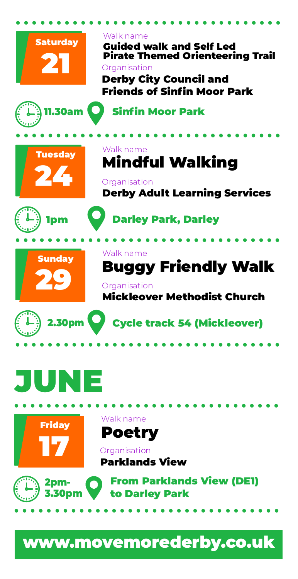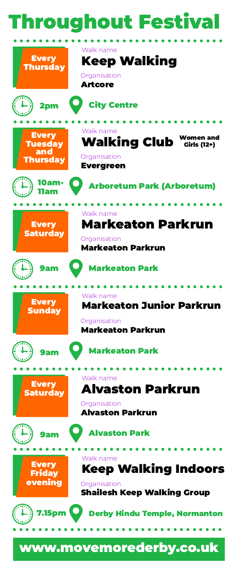## roughout Festiva

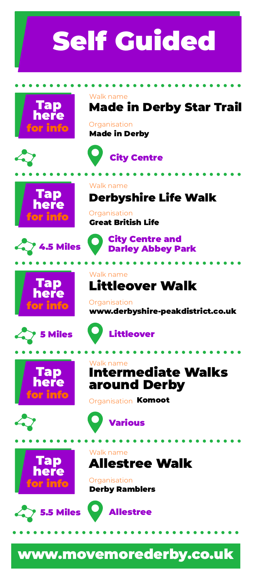# <span id="page-6-0"></span>Self
Guided







Walk
name

**Organisation** 

Great
British
Life

Walk
name

**Organisation** 

Walk
name















Walk
name







Walk
name



around
Derby

Organisation **Komoot** 

Littleover

**Organisation** Derby
Ramblers



### [www.movemorederby.co.uk](www.movemorederby.co.uk/derby-walking-festival)

Made
in
Derby
Star
Trail

Derbyshire
Life
Walk

Littleover
Walk

City
Centre
and

Intermediate
Walks

www.derbyshire-peakdistrict.co.uk

**Organisation** Made
in
Derby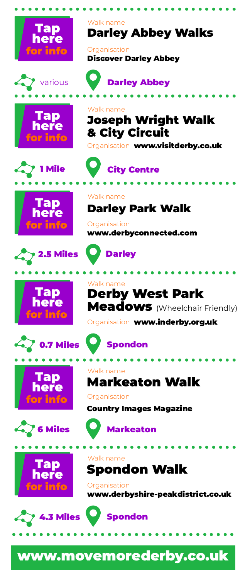



























**Organisation** www.derbyshire-peakdistrict.co.uk





Darley
Abbey
Walks Walk
name

Organisation Discover
Darley
Abbey





Organisation www.visitderby.co.uk



Walk
name

Darley
Park
Walk

**Organisation** www.derbyconnected.com



Derby
West
Park Meadows (Wheelchair Friendly) Walk
name

Organisation www.inderby.org.uk



Markeaton
Walk Walk
name

#### Organisation

Country
Images
Magazine

Markeaton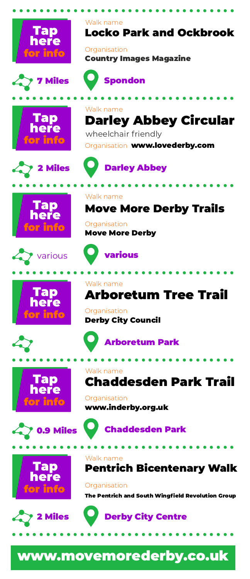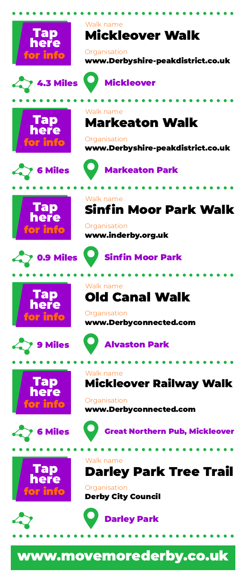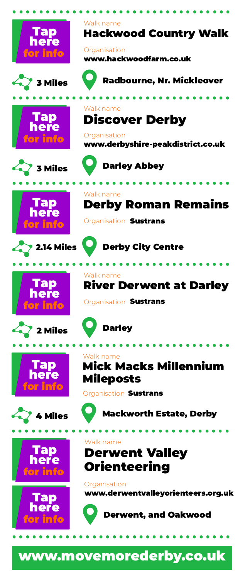<span id="page-10-0"></span>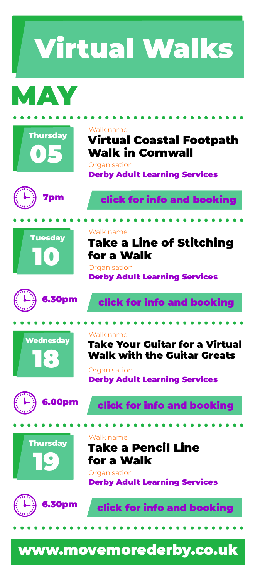................................. MAY Virtual
Walks

Walk
name

**Organisation** 





[click
for
info
and
booking](https://www.adult-learning-derby.org.uk/course/?id=24705)

Derby
Adult
Learning
Services

Virtual
Coastal
Footpath

Walk
in
Cornwall





Wednesday

18



Derby
Adult
Learning
Services

Take
a
Line
of
Stitching



for
a
Walk

Walk
name

**Organisation** 



**Organisation** Derby
Adult
Learning
Services







[click
for
info
and
booking](https://www.adult-learning-derby.org.uk/course/?id=24751) .................................

#### Take
a
Pencil
Line Walk
name

### for
a
Walk

**Organisation** Derby
Adult
Learning
Services

[click
for
info
and
booking](https://www.adult-learning-derby.org.uk/course/?id=24181)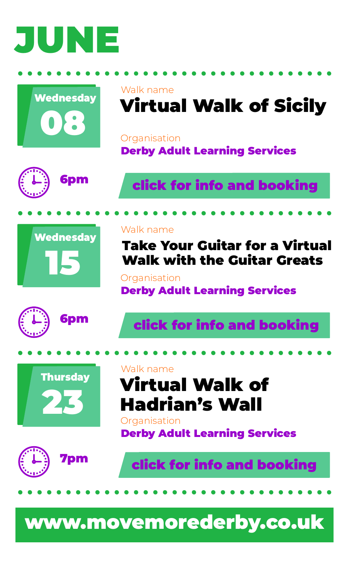

<span id="page-12-0"></span>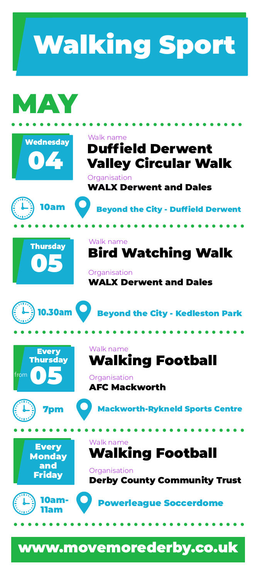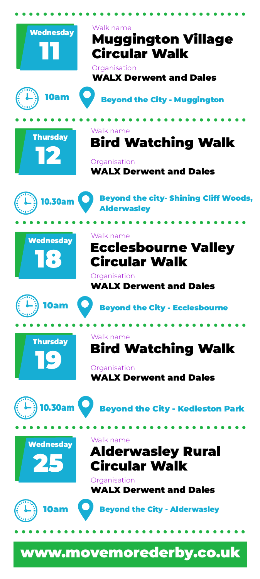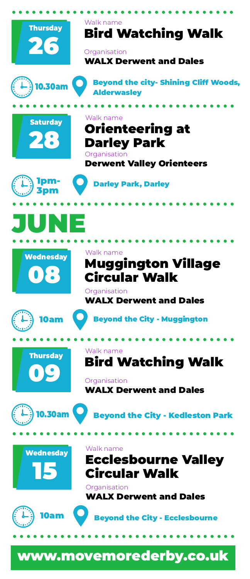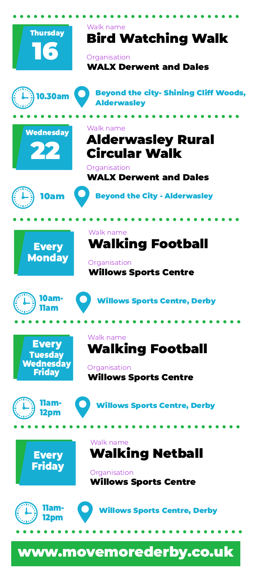